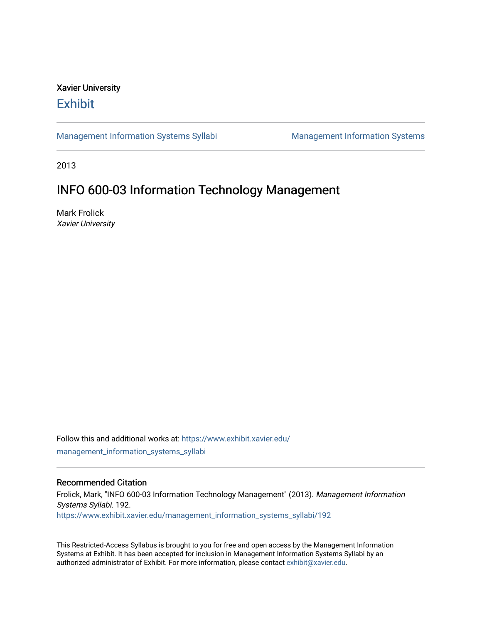# Xavier University **Exhibit**

[Management Information Systems Syllabi](https://www.exhibit.xavier.edu/management_information_systems_syllabi) Management Information Systems

2013

# INFO 600-03 Information Technology Management

Mark Frolick Xavier University

Follow this and additional works at: [https://www.exhibit.xavier.edu/](https://www.exhibit.xavier.edu/management_information_systems_syllabi?utm_source=www.exhibit.xavier.edu%2Fmanagement_information_systems_syllabi%2F192&utm_medium=PDF&utm_campaign=PDFCoverPages) [management\\_information\\_systems\\_syllabi](https://www.exhibit.xavier.edu/management_information_systems_syllabi?utm_source=www.exhibit.xavier.edu%2Fmanagement_information_systems_syllabi%2F192&utm_medium=PDF&utm_campaign=PDFCoverPages) 

#### Recommended Citation

Frolick, Mark, "INFO 600-03 Information Technology Management" (2013). Management Information Systems Syllabi. 192. [https://www.exhibit.xavier.edu/management\\_information\\_systems\\_syllabi/192](https://www.exhibit.xavier.edu/management_information_systems_syllabi/192?utm_source=www.exhibit.xavier.edu%2Fmanagement_information_systems_syllabi%2F192&utm_medium=PDF&utm_campaign=PDFCoverPages) 

This Restricted-Access Syllabus is brought to you for free and open access by the Management Information Systems at Exhibit. It has been accepted for inclusion in Management Information Systems Syllabi by an authorized administrator of Exhibit. For more information, please contact [exhibit@xavier.edu](mailto:exhibit@xavier.edu).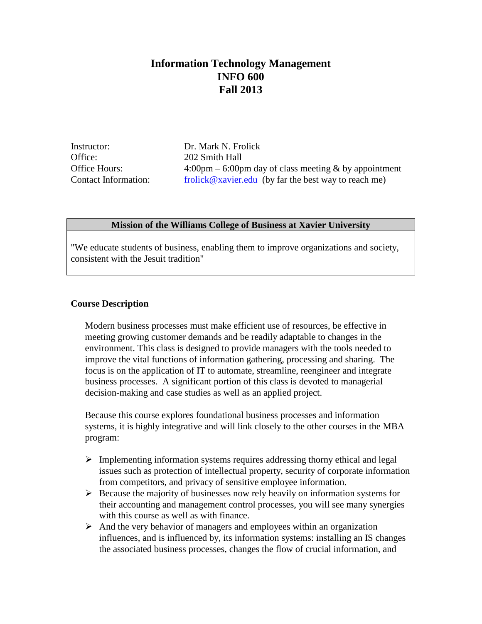# **Information Technology Management INFO 600 Fall 2013**

Instructor: Dr. Mark N. Frolick Office: 202 Smith Hall

Office Hours: 4:00pm – 6:00pm day of class meeting & by appointment Contact Information:  $\frac{\text{frolick} @xavier.edu}{}$  (by far the best way to reach me)

## **Mission of the Williams College of Business at Xavier University**

"We educate students of business, enabling them to improve organizations and society, consistent with the Jesuit tradition"

## **Course Description**

Modern business processes must make efficient use of resources, be effective in meeting growing customer demands and be readily adaptable to changes in the environment. This class is designed to provide managers with the tools needed to improve the vital functions of information gathering, processing and sharing. The focus is on the application of IT to automate, streamline, reengineer and integrate business processes. A significant portion of this class is devoted to managerial decision-making and case studies as well as an applied project.

Because this course explores foundational business processes and information systems, it is highly integrative and will link closely to the other courses in the MBA program:

- $\triangleright$  Implementing information systems requires addressing thorny ethical and legal issues such as protection of intellectual property, security of corporate information from competitors, and privacy of sensitive employee information.
- $\triangleright$  Because the majority of businesses now rely heavily on information systems for their accounting and management control processes, you will see many synergies with this course as well as with finance.
- $\triangleright$  And the very behavior of managers and employees within an organization influences, and is influenced by, its information systems: installing an IS changes the associated business processes, changes the flow of crucial information, and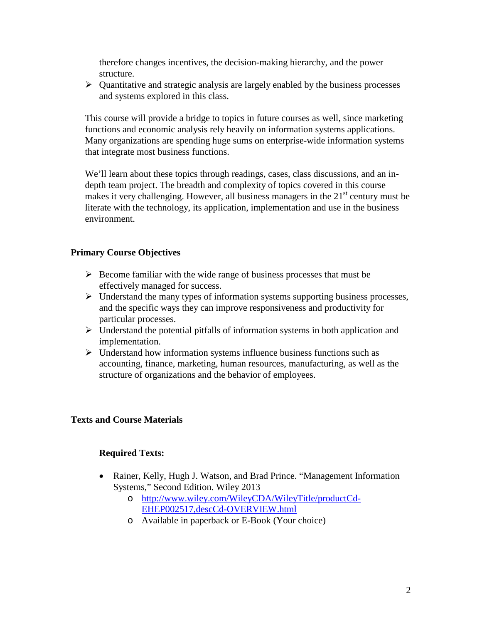therefore changes incentives, the decision-making hierarchy, and the power structure.

 $\triangleright$  Quantitative and strategic analysis are largely enabled by the business processes and systems explored in this class.

This course will provide a bridge to topics in future courses as well, since marketing functions and economic analysis rely heavily on information systems applications. Many organizations are spending huge sums on enterprise-wide information systems that integrate most business functions.

We'll learn about these topics through readings, cases, class discussions, and an indepth team project. The breadth and complexity of topics covered in this course makes it very challenging. However, all business managers in the  $21<sup>st</sup>$  century must be literate with the technology, its application, implementation and use in the business environment.

# **Primary Course Objectives**

- $\triangleright$  Become familiar with the wide range of business processes that must be effectively managed for success.
- $\triangleright$  Understand the many types of information systems supporting business processes, and the specific ways they can improve responsiveness and productivity for particular processes.
- $\triangleright$  Understand the potential pitfalls of information systems in both application and implementation.
- $\triangleright$  Understand how information systems influence business functions such as accounting, finance, marketing, human resources, manufacturing, as well as the structure of organizations and the behavior of employees.

# **Texts and Course Materials**

# **Required Texts:**

- Rainer, Kelly, Hugh J. Watson, and Brad Prince. "Management Information Systems," Second Edition. Wiley 2013
	- o [http://www.wiley.com/WileyCDA/WileyTitle/productCd-](http://www.wiley.com/WileyCDA/WileyTitle/productCd-EHEP002517,descCd-OVERVIEW.html)[EHEP002517,descCd-OVERVIEW.html](http://www.wiley.com/WileyCDA/WileyTitle/productCd-EHEP002517,descCd-OVERVIEW.html)
	- o Available in paperback or E-Book (Your choice)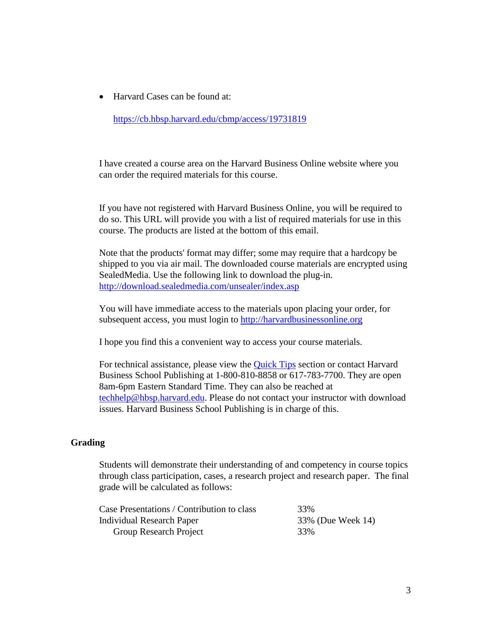• Harvard Cases can be found at:

<https://cb.hbsp.harvard.edu/cbmp/access/19731819>

I have created a course area on the Harvard Business Online website where you can order the required materials for this course.

If you have not registered with Harvard Business Online, you will be required to do so. This URL will provide you with a list of required materials for use in this course. The products are listed at the bottom of this email.

Note that the products' format may differ; some may require that a hardcopy be shipped to you via air mail. The downloaded course materials are encrypted using SealedMedia. Use the following link to download the plug-in. <http://download.sealedmedia.com/unsealer/index.asp>

You will have immediate access to the materials upon placing your order, for subsequent access, you must login to [http://harvardbusinessonline.org](http://harvardbusinessonline.org/)

I hope you find this a convenient way to access your course materials.

For technical assistance, please view the **Quick Tips** section or contact Harvard Business School Publishing at 1-800-810-8858 or 617-783-7700. They are open 8am-6pm Eastern Standard Time. They can also be reached at [techhelp@hbsp.harvard.edu.](mailto:techhelp@hbsp.harvard.edu) Please do not contact your instructor with download issues. Harvard Business School Publishing is in charge of this.

## **Grading**

Students will demonstrate their understanding of and competency in course topics through class participation, cases, a research project and research paper. The final grade will be calculated as follows:

| Case Presentations / Contribution to class | 33%               |
|--------------------------------------------|-------------------|
| Individual Research Paper                  | 33% (Due Week 14) |
| Group Research Project                     | 33%               |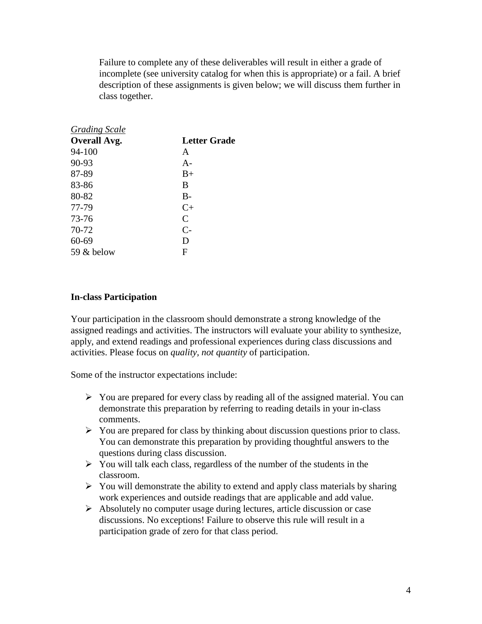Failure to complete any of these deliverables will result in either a grade of incomplete (see university catalog for when this is appropriate) or a fail. A brief description of these assignments is given below; we will discuss them further in class together.

| <b>Grading Scale</b> |              |
|----------------------|--------------|
| <b>Overall Avg.</b>  | Letter Grade |
| 94-100               | A            |
| 90-93                | $A -$        |
| 87-89                | $B+$         |
| 83-86                | B            |
| 80-82                | $B -$        |
| 77-79                | $C+$         |
| 73-76                | C            |
| 70-72                | $C-$         |
| $60 - 69$            | D            |
| 59 & below           | F            |

## **In-class Participation**

Your participation in the classroom should demonstrate a strong knowledge of the assigned readings and activities. The instructors will evaluate your ability to synthesize, apply, and extend readings and professional experiences during class discussions and activities. Please focus on *quality, not quantity* of participation.

Some of the instructor expectations include:

- $\triangleright$  You are prepared for every class by reading all of the assigned material. You can demonstrate this preparation by referring to reading details in your in-class comments.
- $\triangleright$  You are prepared for class by thinking about discussion questions prior to class. You can demonstrate this preparation by providing thoughtful answers to the questions during class discussion.
- $\triangleright$  You will talk each class, regardless of the number of the students in the classroom.
- $\triangleright$  You will demonstrate the ability to extend and apply class materials by sharing work experiences and outside readings that are applicable and add value.
- $\triangleright$  Absolutely no computer usage during lectures, article discussion or case discussions. No exceptions! Failure to observe this rule will result in a participation grade of zero for that class period.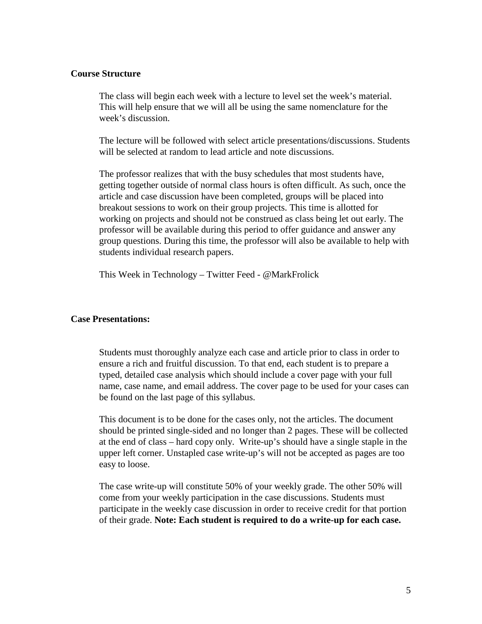## **Course Structure**

The class will begin each week with a lecture to level set the week's material. This will help ensure that we will all be using the same nomenclature for the week's discussion.

The lecture will be followed with select article presentations/discussions. Students will be selected at random to lead article and note discussions.

The professor realizes that with the busy schedules that most students have, getting together outside of normal class hours is often difficult. As such, once the article and case discussion have been completed, groups will be placed into breakout sessions to work on their group projects. This time is allotted for working on projects and should not be construed as class being let out early. The professor will be available during this period to offer guidance and answer any group questions. During this time, the professor will also be available to help with students individual research papers.

This Week in Technology – Twitter Feed - @MarkFrolick

#### **Case Presentations:**

Students must thoroughly analyze each case and article prior to class in order to ensure a rich and fruitful discussion. To that end, each student is to prepare a typed, detailed case analysis which should include a cover page with your full name, case name, and email address. The cover page to be used for your cases can be found on the last page of this syllabus.

This document is to be done for the cases only, not the articles. The document should be printed single-sided and no longer than 2 pages. These will be collected at the end of class – hard copy only. Write-up's should have a single staple in the upper left corner. Unstapled case write-up's will not be accepted as pages are too easy to loose.

The case write-up will constitute 50% of your weekly grade. The other 50% will come from your weekly participation in the case discussions. Students must participate in the weekly case discussion in order to receive credit for that portion of their grade. **Note: Each student is required to do a write-up for each case.**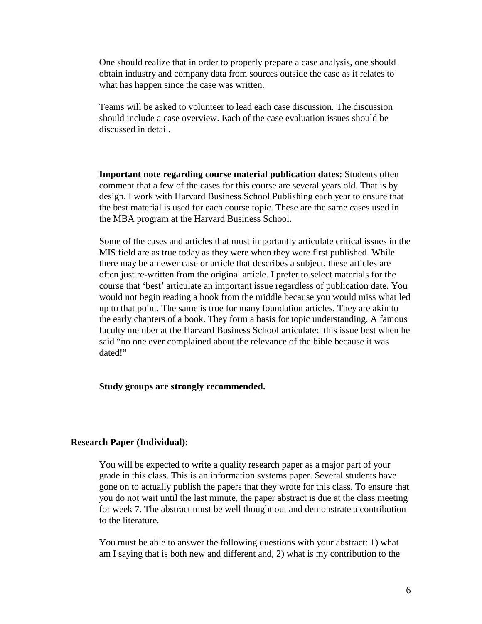One should realize that in order to properly prepare a case analysis, one should obtain industry and company data from sources outside the case as it relates to what has happen since the case was written.

Teams will be asked to volunteer to lead each case discussion. The discussion should include a case overview. Each of the case evaluation issues should be discussed in detail.

**Important note regarding course material publication dates:** Students often comment that a few of the cases for this course are several years old. That is by design. I work with Harvard Business School Publishing each year to ensure that the best material is used for each course topic. These are the same cases used in the MBA program at the Harvard Business School.

Some of the cases and articles that most importantly articulate critical issues in the MIS field are as true today as they were when they were first published. While there may be a newer case or article that describes a subject, these articles are often just re-written from the original article. I prefer to select materials for the course that 'best' articulate an important issue regardless of publication date. You would not begin reading a book from the middle because you would miss what led up to that point. The same is true for many foundation articles. They are akin to the early chapters of a book. They form a basis for topic understanding. A famous faculty member at the Harvard Business School articulated this issue best when he said "no one ever complained about the relevance of the bible because it was dated!"

#### **Study groups are strongly recommended.**

#### **Research Paper (Individual)**:

You will be expected to write a quality research paper as a major part of your grade in this class. This is an information systems paper. Several students have gone on to actually publish the papers that they wrote for this class. To ensure that you do not wait until the last minute, the paper abstract is due at the class meeting for week 7. The abstract must be well thought out and demonstrate a contribution to the literature.

You must be able to answer the following questions with your abstract: 1) what am I saying that is both new and different and, 2) what is my contribution to the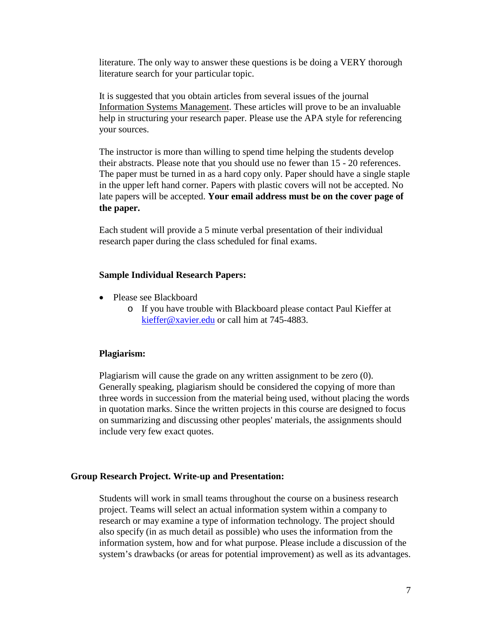literature. The only way to answer these questions is be doing a VERY thorough literature search for your particular topic.

It is suggested that you obtain articles from several issues of the journal Information Systems Management. These articles will prove to be an invaluable help in structuring your research paper. Please use the APA style for referencing your sources.

The instructor is more than willing to spend time helping the students develop their abstracts. Please note that you should use no fewer than 15 - 20 references. The paper must be turned in as a hard copy only. Paper should have a single staple in the upper left hand corner. Papers with plastic covers will not be accepted. No late papers will be accepted. **Your email address must be on the cover page of the paper.**

Each student will provide a 5 minute verbal presentation of their individual research paper during the class scheduled for final exams.

#### **Sample Individual Research Papers:**

- Please see Blackboard
	- o If you have trouble with Blackboard please contact Paul Kieffer at [kieffer@xavier.edu](mailto:kieffer@xavier.edu) or call him at 745-4883.

#### **Plagiarism:**

Plagiarism will cause the grade on any written assignment to be zero (0). Generally speaking, plagiarism should be considered the copying of more than three words in succession from the material being used, without placing the words in quotation marks. Since the written projects in this course are designed to focus on summarizing and discussing other peoples' materials, the assignments should include very few exact quotes.

#### **Group Research Project. Write-up and Presentation:**

Students will work in small teams throughout the course on a business research project. Teams will select an actual information system within a company to research or may examine a type of information technology. The project should also specify (in as much detail as possible) who uses the information from the information system, how and for what purpose. Please include a discussion of the system's drawbacks (or areas for potential improvement) as well as its advantages.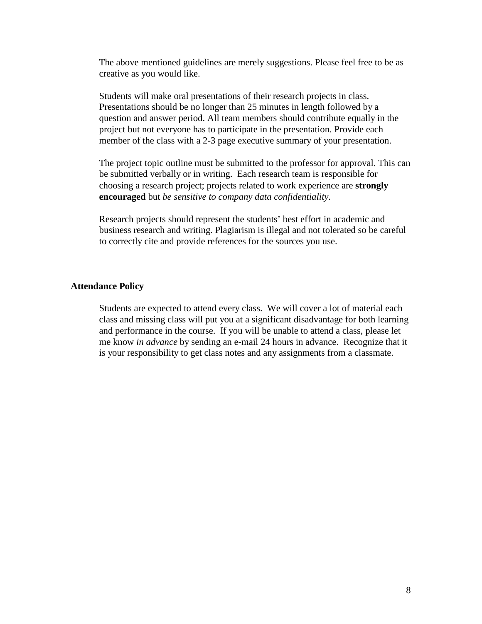The above mentioned guidelines are merely suggestions. Please feel free to be as creative as you would like.

Students will make oral presentations of their research projects in class. Presentations should be no longer than 25 minutes in length followed by a question and answer period. All team members should contribute equally in the project but not everyone has to participate in the presentation. Provide each member of the class with a 2-3 page executive summary of your presentation.

The project topic outline must be submitted to the professor for approval. This can be submitted verbally or in writing. Each research team is responsible for choosing a research project; projects related to work experience are **strongly encouraged** but *be sensitive to company data confidentiality.*

Research projects should represent the students' best effort in academic and business research and writing. Plagiarism is illegal and not tolerated so be careful to correctly cite and provide references for the sources you use.

#### **Attendance Policy**

Students are expected to attend every class. We will cover a lot of material each class and missing class will put you at a significant disadvantage for both learning and performance in the course. If you will be unable to attend a class, please let me know *in advance* by sending an e-mail 24 hours in advance. Recognize that it is your responsibility to get class notes and any assignments from a classmate.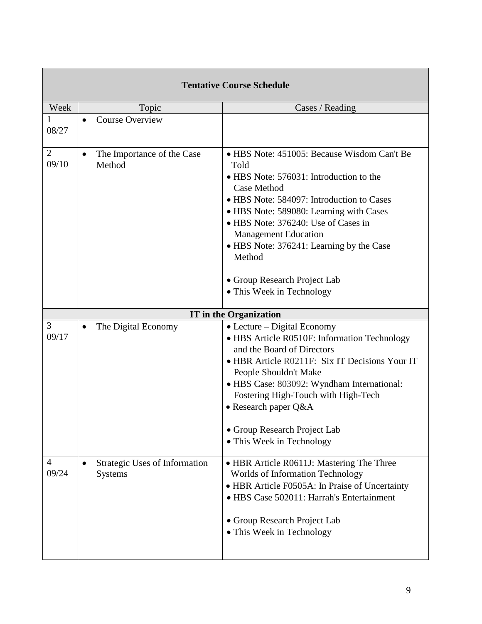| <b>Tentative Course Schedule</b> |                                                 |                                                                                                                                                                                                                                                                                                                                                                                                |  |
|----------------------------------|-------------------------------------------------|------------------------------------------------------------------------------------------------------------------------------------------------------------------------------------------------------------------------------------------------------------------------------------------------------------------------------------------------------------------------------------------------|--|
| Week                             | Topic                                           | Cases / Reading                                                                                                                                                                                                                                                                                                                                                                                |  |
| 08/27                            | <b>Course Overview</b><br>$\bullet$             |                                                                                                                                                                                                                                                                                                                                                                                                |  |
| $\overline{2}$<br>09/10          | The Importance of the Case<br>Method            | • HBS Note: 451005: Because Wisdom Can't Be<br>Told<br>• HBS Note: 576031: Introduction to the<br>Case Method<br>• HBS Note: 584097: Introduction to Cases<br>• HBS Note: 589080: Learning with Cases<br>• HBS Note: 376240: Use of Cases in<br><b>Management Education</b><br>• HBS Note: 376241: Learning by the Case<br>Method<br>• Group Research Project Lab<br>• This Week in Technology |  |
|                                  |                                                 | <b>IT</b> in the Organization                                                                                                                                                                                                                                                                                                                                                                  |  |
| 3<br>09/17                       | The Digital Economy                             | $\bullet$ Lecture – Digital Economy<br>• HBS Article R0510F: Information Technology<br>and the Board of Directors<br>• HBR Article R0211F: Six IT Decisions Your IT<br>People Shouldn't Make<br>• HBS Case: 803092: Wyndham International:<br>Fostering High-Touch with High-Tech<br>$\bullet$ Research paper Q&A<br>• Group Research Project Lab<br>• This Week in Technology                 |  |
| 4<br>09/24                       | Strategic Uses of Information<br><b>Systems</b> | • HBR Article R0611J: Mastering The Three<br><b>Worlds of Information Technology</b><br>• HBR Article F0505A: In Praise of Uncertainty<br>• HBS Case 502011: Harrah's Entertainment<br>• Group Research Project Lab<br>• This Week in Technology                                                                                                                                               |  |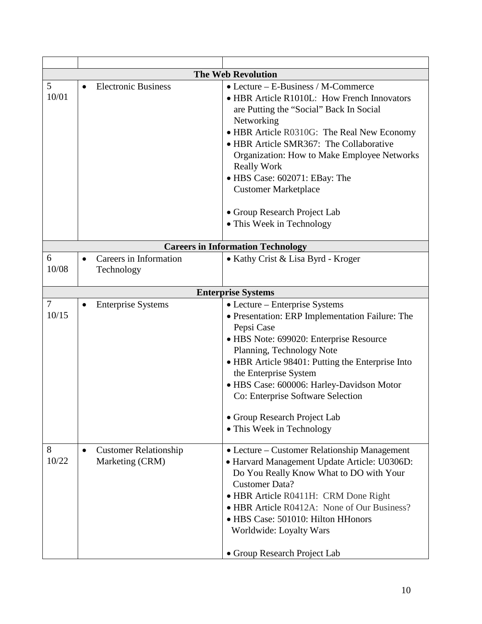| <b>The Web Revolution</b> |                                                      |                                                                                                                                                                                                                                                                                                                                                                                                                                                |  |  |
|---------------------------|------------------------------------------------------|------------------------------------------------------------------------------------------------------------------------------------------------------------------------------------------------------------------------------------------------------------------------------------------------------------------------------------------------------------------------------------------------------------------------------------------------|--|--|
| 5<br>10/01                | <b>Electronic Business</b><br>$\bullet$              | $\bullet$ Lecture – E-Business / M-Commerce<br>• HBR Article R1010L: How French Innovators<br>are Putting the "Social" Back In Social<br>Networking<br>• HBR Article R0310G: The Real New Economy<br>• HBR Article SMR367: The Collaborative<br>Organization: How to Make Employee Networks<br><b>Really Work</b><br>• HBS Case: 602071: EBay: The<br><b>Customer Marketplace</b><br>• Group Research Project Lab<br>• This Week in Technology |  |  |
|                           |                                                      |                                                                                                                                                                                                                                                                                                                                                                                                                                                |  |  |
|                           |                                                      | <b>Careers in Information Technology</b>                                                                                                                                                                                                                                                                                                                                                                                                       |  |  |
| 6<br>10/08                | Careers in Information<br>$\bullet$<br>Technology    | • Kathy Crist & Lisa Byrd - Kroger                                                                                                                                                                                                                                                                                                                                                                                                             |  |  |
|                           |                                                      | <b>Enterprise Systems</b>                                                                                                                                                                                                                                                                                                                                                                                                                      |  |  |
| 7<br>10/15                | <b>Enterprise Systems</b>                            | • Lecture – Enterprise Systems<br>• Presentation: ERP Implementation Failure: The<br>Pepsi Case<br>• HBS Note: 699020: Enterprise Resource<br>Planning, Technology Note<br>• HBR Article 98401: Putting the Enterprise Into<br>the Enterprise System<br>· HBS Case: 600006: Harley-Davidson Motor<br>Co: Enterprise Software Selection<br>• Group Research Project Lab<br>• This Week in Technology                                            |  |  |
| 8<br>10/22                | <b>Customer Relationship</b><br>٠<br>Marketing (CRM) | • Lecture – Customer Relationship Management<br>• Harvard Management Update Article: U0306D:<br>Do You Really Know What to DO with Your<br><b>Customer Data?</b><br>• HBR Article R0411H: CRM Done Right<br>• HBR Article R0412A: None of Our Business?<br>• HBS Case: 501010: Hilton HHonors<br>Worldwide: Loyalty Wars<br>• Group Research Project Lab                                                                                       |  |  |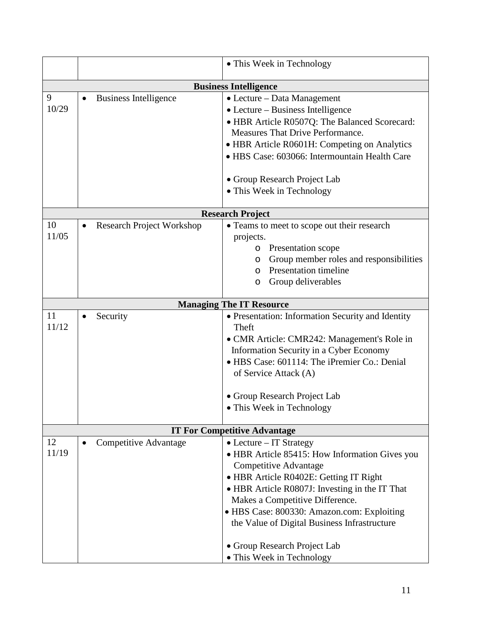|                                   |                                   | • This Week in Technology                                                |  |  |
|-----------------------------------|-----------------------------------|--------------------------------------------------------------------------|--|--|
|                                   |                                   |                                                                          |  |  |
| <b>Business Intelligence</b><br>9 |                                   |                                                                          |  |  |
| 10/29                             | <b>Business Intelligence</b><br>٠ | • Lecture – Data Management<br>$\bullet$ Lecture – Business Intelligence |  |  |
|                                   |                                   |                                                                          |  |  |
|                                   |                                   | • HBR Article R0507Q: The Balanced Scorecard:                            |  |  |
|                                   |                                   | Measures That Drive Performance.                                         |  |  |
|                                   |                                   | • HBR Article R0601H: Competing on Analytics                             |  |  |
|                                   |                                   | · HBS Case: 603066: Intermountain Health Care                            |  |  |
|                                   |                                   | • Group Research Project Lab                                             |  |  |
|                                   |                                   | • This Week in Technology                                                |  |  |
|                                   |                                   |                                                                          |  |  |
|                                   |                                   | <b>Research Project</b>                                                  |  |  |
| 10                                | <b>Research Project Workshop</b>  | • Teams to meet to scope out their research                              |  |  |
| 11/05                             |                                   | projects.                                                                |  |  |
|                                   |                                   | o Presentation scope                                                     |  |  |
|                                   |                                   | Group member roles and responsibilities<br>$\circ$                       |  |  |
|                                   |                                   | <b>Presentation timeline</b><br>$\circ$                                  |  |  |
|                                   |                                   | Group deliverables<br>O                                                  |  |  |
|                                   |                                   |                                                                          |  |  |
| 11                                |                                   | <b>Managing The IT Resource</b>                                          |  |  |
| 11/12                             | Security                          | • Presentation: Information Security and Identity<br>Theft               |  |  |
|                                   |                                   | · CMR Article: CMR242: Management's Role in                              |  |  |
|                                   |                                   | Information Security in a Cyber Economy                                  |  |  |
|                                   |                                   | • HBS Case: 601114: The iPremier Co.: Denial                             |  |  |
|                                   |                                   | of Service Attack (A)                                                    |  |  |
|                                   |                                   |                                                                          |  |  |
|                                   |                                   | • Group Research Project Lab                                             |  |  |
|                                   |                                   | • This Week in Technology                                                |  |  |
|                                   |                                   | <b>IT For Competitive Advantage</b>                                      |  |  |
| 12                                | Competitive Advantage             | $\bullet$ Lecture – IT Strategy                                          |  |  |
| 11/19                             |                                   | • HBR Article 85415: How Information Gives you                           |  |  |
|                                   |                                   | Competitive Advantage                                                    |  |  |
|                                   |                                   | • HBR Article R0402E: Getting IT Right                                   |  |  |
|                                   |                                   | • HBR Article R0807J: Investing in the IT That                           |  |  |
|                                   |                                   | Makes a Competitive Difference.                                          |  |  |
|                                   |                                   | • HBS Case: 800330: Amazon.com: Exploiting                               |  |  |
|                                   |                                   | the Value of Digital Business Infrastructure                             |  |  |
|                                   |                                   |                                                                          |  |  |
|                                   |                                   | • Group Research Project Lab                                             |  |  |
|                                   |                                   | • This Week in Technology                                                |  |  |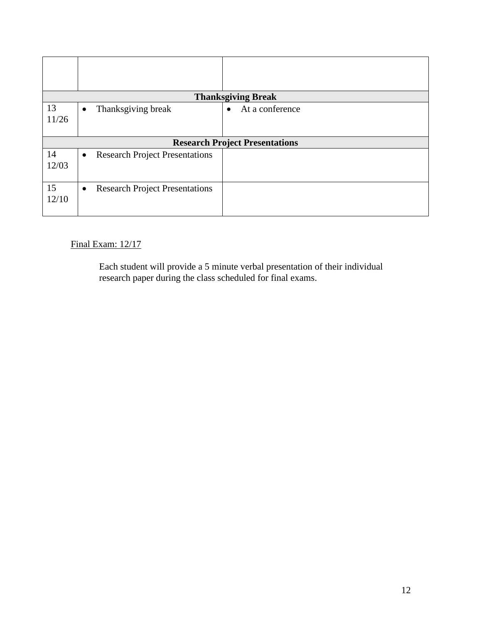| <b>Thanksgiving Break</b> |                                                    |                              |  |  |
|---------------------------|----------------------------------------------------|------------------------------|--|--|
| 13<br>11/26               | Thanksgiving break<br>$\bullet$                    | At a conference<br>$\bullet$ |  |  |
|                           | <b>Research Project Presentations</b>              |                              |  |  |
| 14<br>12/03               | <b>Research Project Presentations</b><br>$\bullet$ |                              |  |  |
| 15<br>12/10               | <b>Research Project Presentations</b><br>$\bullet$ |                              |  |  |

# Final Exam: 12/17

Each student will provide a 5 minute verbal presentation of their individual research paper during the class scheduled for final exams.